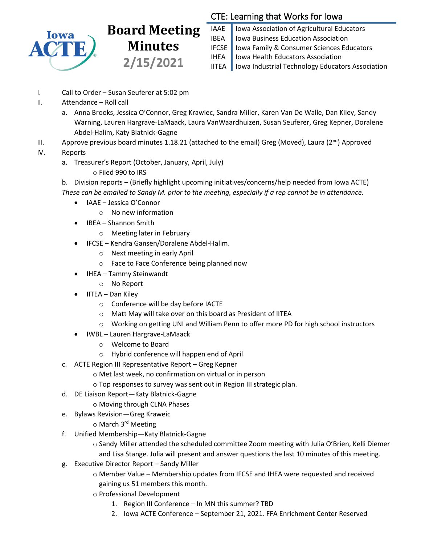

## **Board Meeting Minutes 2/15/2021**

## CTE: Learning that Works for Iowa

IAAE | Iowa Association of Agricultural Educators **IBEA** | Iowa Business Education Association IFCSE Iowa Family & Consumer Sciences Educators IHEA | Iowa Health Educators Association IITEA | Iowa Industrial Technology Educators Association

- I. Call to Order Susan Seuferer at 5:02 pm
- II. Attendance Roll call
	- a. Anna Brooks, Jessica O'Connor, Greg Krawiec, Sandra Miller, Karen Van De Walle, Dan Kiley, Sandy Warning, Lauren Hargrave-LaMaack, Laura VanWaardhuizen, Susan Seuferer, Greg Kepner, Doralene Abdel-Halim, Katy Blatnick-Gagne
- III. Approve previous board minutes 1.18.21 (attached to the email) Greg (Moved), Laura ( $2^{nd}$ ) Approved
- IV. Reports
	- a. Treasurer's Report (October, January, April, July)
		- o Filed 990 to IRS

b. Division reports – (Briefly highlight upcoming initiatives/concerns/help needed from Iowa ACTE) *These can be emailed to Sandy M. prior to the meeting, especially if a rep cannot be in attendance.*

- IAAE Jessica O'Connor
	- o No new information
	- IBEA Shannon Smith
		- o Meeting later in February
- IFCSE Kendra Gansen/Doralene Abdel-Halim.
	- o Next meeting in early April
	- o Face to Face Conference being planned now
- IHEA Tammy Steinwandt
	- o No Report
- IITEA Dan Kiley
	- o Conference will be day before IACTE
	- o Matt May will take over on this board as President of IITEA
	- o Working on getting UNI and William Penn to offer more PD for high school instructors
- IWBL Lauren Hargrave-LaMaack
	- o Welcome to Board
	- o Hybrid conference will happen end of April
- c. ACTE Region III Representative Report Greg Kepner
	- o Met last week, no confirmation on virtual or in person
	- o Top responses to survey was sent out in Region III strategic plan.
- d. DE Liaison Report—Katy Blatnick-Gagne
	- o Moving through CLNA Phases
- e. Bylaws Revision—Greg Kraweic
	- o March 3rd Meeting
- f. Unified Membership—Katy Blatnick-Gagne
	- o Sandy Miller attended the scheduled committee Zoom meeting with Julia O'Brien, Kelli Diemer and Lisa Stange. Julia will present and answer questions the last 10 minutes of this meeting.
- g. Executive Director Report Sandy Miller
	- o Member Value Membership updates from IFCSE and IHEA were requested and received gaining us 51 members this month.
	- o Professional Development
		- 1. Region III Conference In MN this summer? TBD
		- 2. Iowa ACTE Conference September 21, 2021. FFA Enrichment Center Reserved